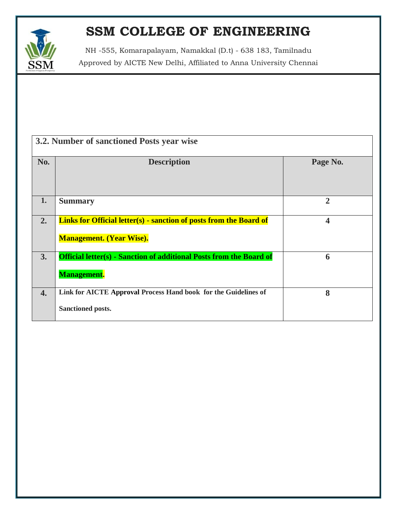

NH -555, Komarapalayam, Namakkal (D.t) - 638 183, Tamilnadu Approved by AICTE New Delhi, Affiliated to Anna University Chennai

| 3.2. Number of sanctioned Posts year wise |                                                                                                              |                         |  |  |
|-------------------------------------------|--------------------------------------------------------------------------------------------------------------|-------------------------|--|--|
| No.                                       | <b>Description</b>                                                                                           | Page No.                |  |  |
| 1.                                        | <b>Summary</b>                                                                                               | $\overline{2}$          |  |  |
| 2.                                        | <b>Links for Official letter(s) - sanction of posts from the Board of</b><br><b>Management. (Year Wise).</b> | $\overline{\mathbf{4}}$ |  |  |
| 3.                                        | <b>Official letter(s) - Sanction of additional Posts from the Board of</b><br><b>Management.</b>             | 6                       |  |  |
| $\boldsymbol{4}$ .                        | Link for AICTE Approval Process Hand book for the Guidelines of<br>Sanctioned posts.                         | 8                       |  |  |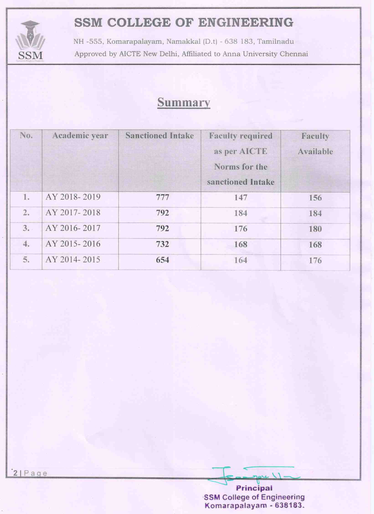

NH -555, Komarapalayam, Namakkal (D.t) - 638 183, Tamilnadu Approved by AICTE New Delhi, Affiliated to Anna University Chennai

#### Summary

| No. | Academic year | <b>Sanctioned Intake</b> | <b>Faculty required</b><br>as per AICTE<br>Norms for the<br>sanctioned Intake | Faculty<br>Available |
|-----|---------------|--------------------------|-------------------------------------------------------------------------------|----------------------|
| 1.  | AY 2018-2019  | 777                      | 147                                                                           | 156                  |
| 2.  | AY 2017-2018  | 792                      | 184                                                                           | 184                  |
| 3.  | AY 2016-2017  | 792                      | 176                                                                           | 180                  |
| 4.  | AY 2015-2016  | 732                      | 168                                                                           | 168                  |
| 5.  | AY 2014-2015  | 654                      | 164                                                                           | 176                  |

Principal **SSM College of Engineering** Komarapalayam - 638183.

 $\sim$   $\sqrt{ }$ .

 $2|Page$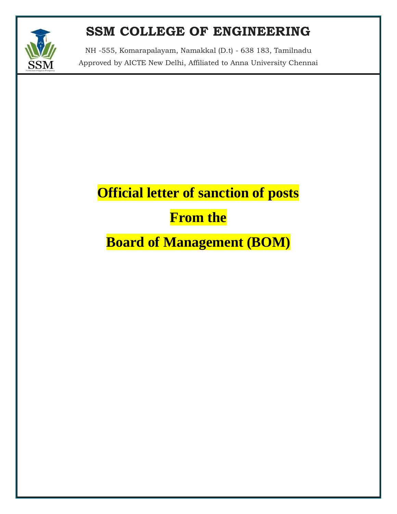

NH -555, Komarapalayam, Namakkal (D.t) - 638 183, Tamilnadu Approved by AICTE New Delhi, Affiliated to Anna University Chennai

# **Official letter of sanction of posts**

### **From the**

### **Board of Management (BOM)**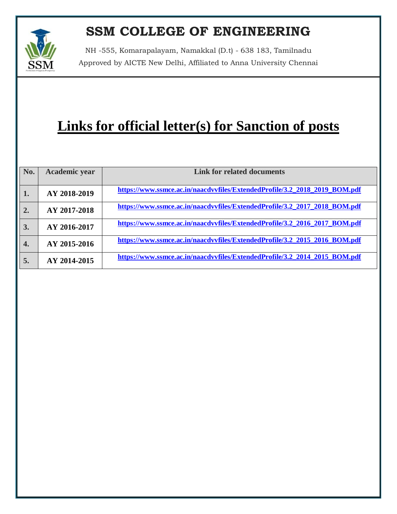

NH -555, Komarapalayam, Namakkal (D.t) - 638 183, Tamilnadu Approved by AICTE New Delhi, Affiliated to Anna University Chennai

# **Links for official letter(s) for Sanction of posts**

| No.              | Academic year | <b>Link for related documents</b>                                          |
|------------------|---------------|----------------------------------------------------------------------------|
| 1.               | AY 2018-2019  | https://www.ssmce.ac.in/naacdvvfiles/ExtendedProfile/3.2_2018_2019_BOM.pdf |
| 2.               | AY 2017-2018  | https://www.ssmce.ac.in/naacdvvfiles/ExtendedProfile/3.2 2017 2018 BOM.pdf |
| 3.               | AY 2016-2017  | https://www.ssmce.ac.in/naacdvvfiles/ExtendedProfile/3.2 2016 2017 BOM.pdf |
| $\overline{4}$ . | AY 2015-2016  | https://www.ssmce.ac.in/naacdvvfiles/ExtendedProfile/3.2_2015_2016_BOM.pdf |
| 5.               | AY 2014-2015  | https://www.ssmce.ac.in/naacdvvfiles/ExtendedProfile/3.2_2014_2015_BOM.pdf |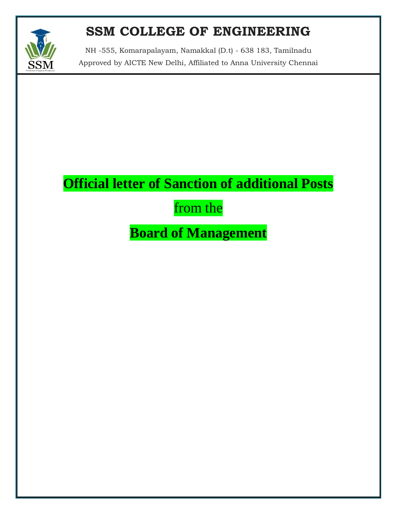

NH -555, Komarapalayam, Namakkal (D.t) - 638 183, Tamilnadu Approved by AICTE New Delhi, Affiliated to Anna University Chennai

# **Official letter of Sanction of additional Posts**

### from the

### **Board of Management**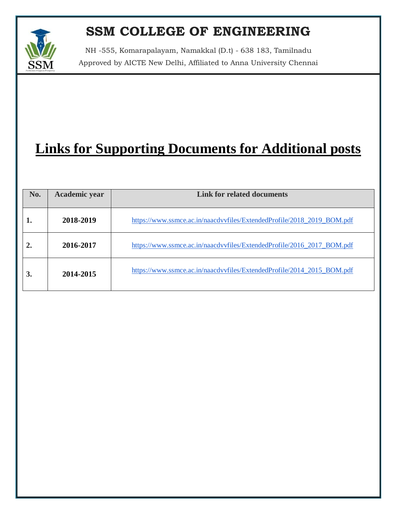

NH -555, Komarapalayam, Namakkal (D.t) - 638 183, Tamilnadu Approved by AICTE New Delhi, Affiliated to Anna University Chennai

# **Links for Supporting Documents for Additional posts**

| No.              | Academic year | <b>Link for related documents</b>                                      |
|------------------|---------------|------------------------------------------------------------------------|
| 1.               | 2018-2019     | https://www.ssmce.ac.in/naacdvvfiles/ExtendedProfile/2018_2019_BOM.pdf |
| $\overline{2}$ . | 2016-2017     | https://www.ssmce.ac.in/naacdvvfiles/ExtendedProfile/2016_2017_BOM.pdf |
| 3.               | 2014-2015     | https://www.ssmce.ac.in/naacdvvfiles/ExtendedProfile/2014_2015_BOM.pdf |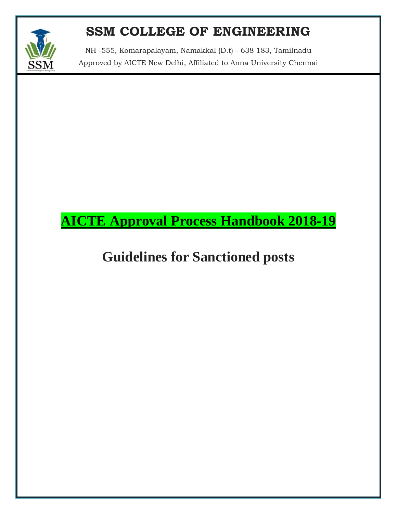

NH -555, Komarapalayam, Namakkal (D.t) - 638 183, Tamilnadu Approved by AICTE New Delhi, Affiliated to Anna University Chennai

### **AICTE Approval Process Handbook 2018-19**

### **Guidelines for Sanctioned posts**